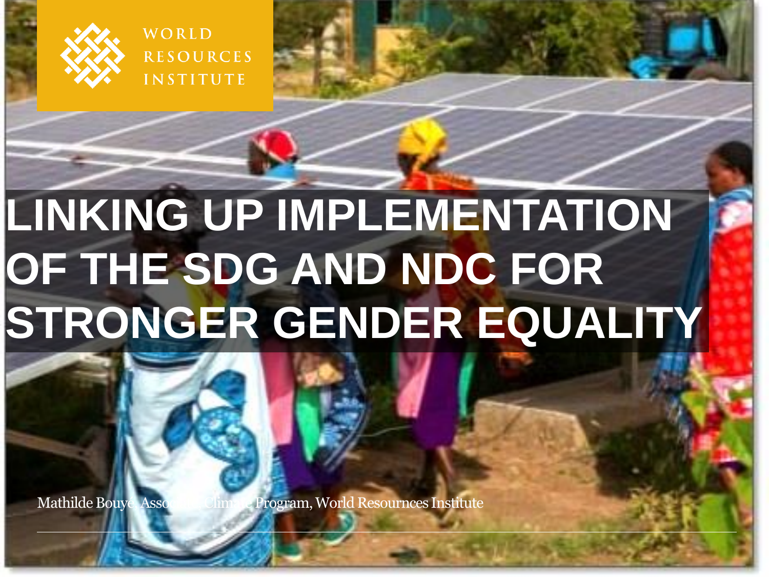

WORLD **RESOURCES INSTITUTE** 

# **LINKING UP IMPLEMENTATION OF THE SDG AND NDC FOR STRONGER GENDER EQUALITY**

Mathilde Bouyé, Associate, Climate Program, World Resournces Institute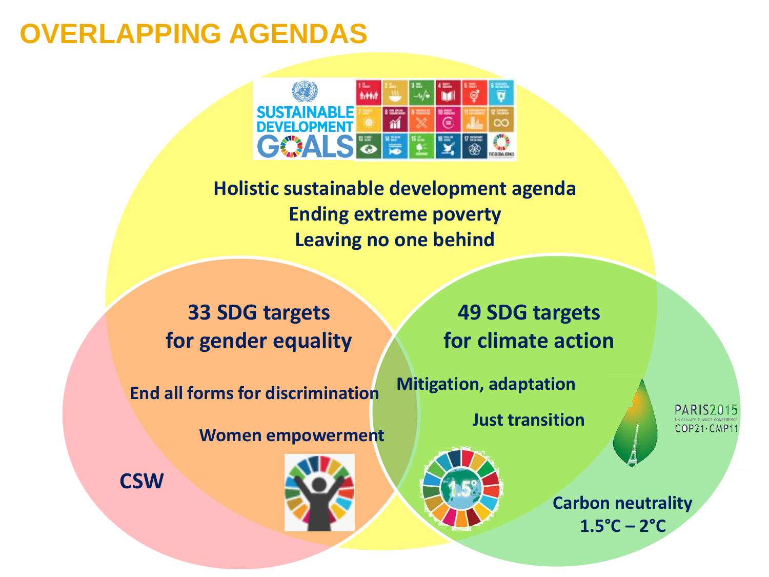### **OVERLAPPING AGENDAS**



**Holistic sustainable development agenda Ending extreme poverty Leaving no one behind**

**33 SDG targets for gender equality**

**End all forms for discrimination**

**49 SDG targets for climate action**

**Mitigation, adaptation**

**Just transition**

**PARIS2015**  $COP21$ · $CMP11$ 

**Women empowerment**

**CSW**





**Carbon neutrality**   $1.5^{\circ}C - 2^{\circ}C$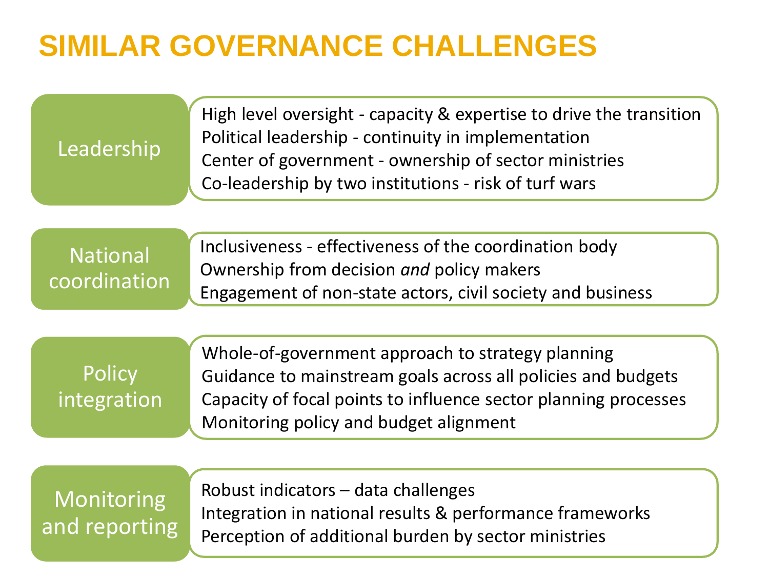### **SIMILAR GOVERNANCE CHALLENGES**

| Leadership                      | High level oversight - capacity & expertise to drive the transition<br>Political leadership - continuity in implementation<br>Center of government - ownership of sector ministries<br>Co-leadership by two institutions - risk of turf wars |
|---------------------------------|----------------------------------------------------------------------------------------------------------------------------------------------------------------------------------------------------------------------------------------------|
|                                 |                                                                                                                                                                                                                                              |
| <b>National</b><br>coordination | Inclusiveness - effectiveness of the coordination body<br>Ownership from decision and policy makers<br>Engagement of non-state actors, civil society and business                                                                            |
|                                 |                                                                                                                                                                                                                                              |
| Policy<br>integration           | Whole-of-government approach to strategy planning<br>Guidance to mainstream goals across all policies and budgets<br>Capacity of focal points to influence sector planning processes<br>Monitoring policy and budget alignment               |
|                                 |                                                                                                                                                                                                                                              |
| Monitoring<br>and reporting     | Robust indicators – data challenges<br>Integration in national results & performance frameworks<br>Perception of additional burden by sector ministries                                                                                      |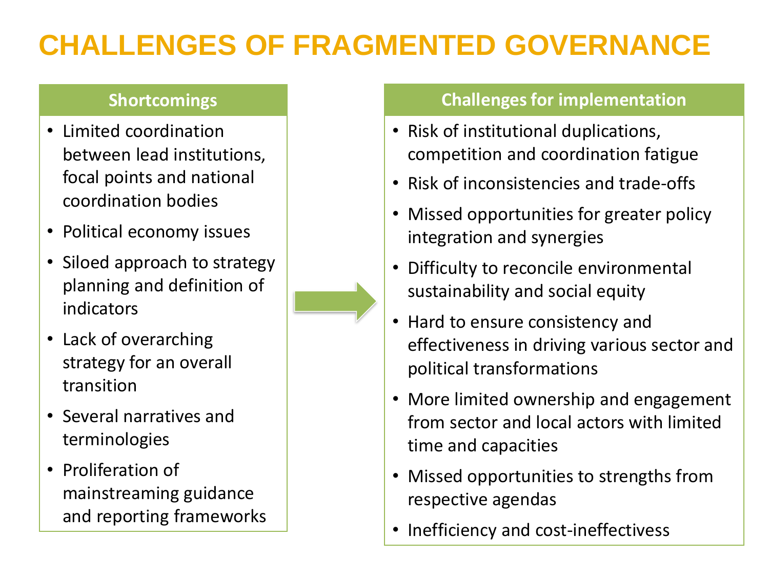### **CHALLENGES OF FRAGMENTED GOVERNANCE**

#### **Shortcomings**

- Limited coordination between lead institutions, focal points and national coordination bodies
- Political economy issues
- Siloed approach to strategy planning and definition of indicators
- Lack of overarching strategy for an overall transition
- Several narratives and terminologies
- Proliferation of mainstreaming guidance and reporting frameworks

#### **Challenges for implementation**

- Risk of institutional duplications, competition and coordination fatigue
- Risk of inconsistencies and trade-offs
- Missed opportunities for greater policy integration and synergies
- Difficulty to reconcile environmental sustainability and social equity
- Hard to ensure consistency and effectiveness in driving various sector and political transformations
- More limited ownership and engagement from sector and local actors with limited time and capacities
- Missed opportunities to strengths from respective agendas
- Inefficiency and cost-ineffectivess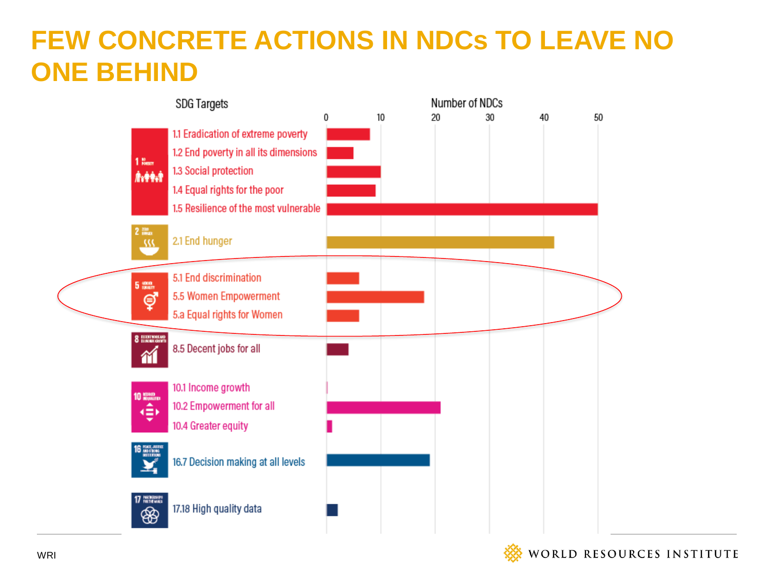### **FEW CONCRETE ACTIONS IN NDCs TO LEAVE NO ONE BEHIND**



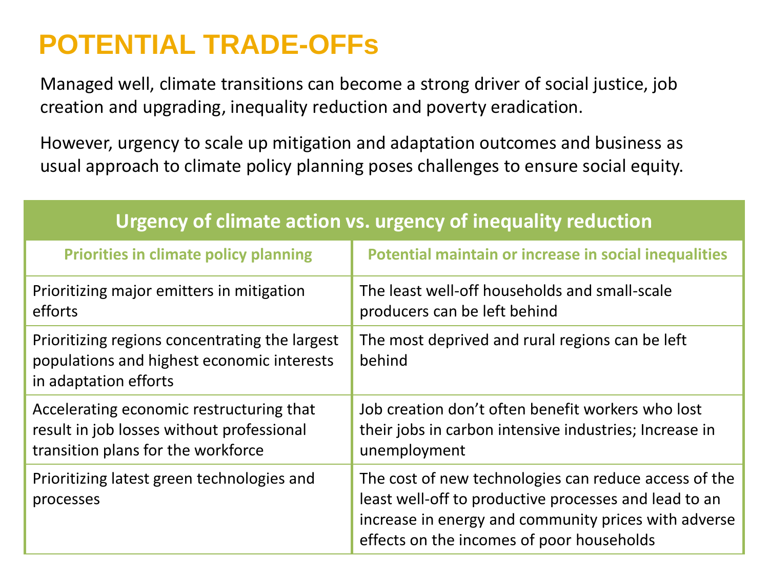### **POTENTIAL TRADE-OFFs**

Managed well, climate transitions can become a strong driver of social justice, job creation and upgrading, inequality reduction and poverty eradication.

However, urgency to scale up mitigation and adaptation outcomes and business as usual approach to climate policy planning poses challenges to ensure social equity.

| Urgency of climate action vs. urgency of inequality reduction                                                               |                                                                                                                                                                                                                     |  |  |
|-----------------------------------------------------------------------------------------------------------------------------|---------------------------------------------------------------------------------------------------------------------------------------------------------------------------------------------------------------------|--|--|
| <b>Priorities in climate policy planning</b>                                                                                | Potential maintain or increase in social inequalities                                                                                                                                                               |  |  |
| Prioritizing major emitters in mitigation<br>efforts                                                                        | The least well-off households and small-scale<br>producers can be left behind                                                                                                                                       |  |  |
| Prioritizing regions concentrating the largest<br>populations and highest economic interests<br>in adaptation efforts       | The most deprived and rural regions can be left<br>behind                                                                                                                                                           |  |  |
| Accelerating economic restructuring that<br>result in job losses without professional<br>transition plans for the workforce | Job creation don't often benefit workers who lost<br>their jobs in carbon intensive industries; Increase in<br>unemployment                                                                                         |  |  |
| Prioritizing latest green technologies and<br>processes                                                                     | The cost of new technologies can reduce access of the<br>least well-off to productive processes and lead to an<br>increase in energy and community prices with adverse<br>effects on the incomes of poor households |  |  |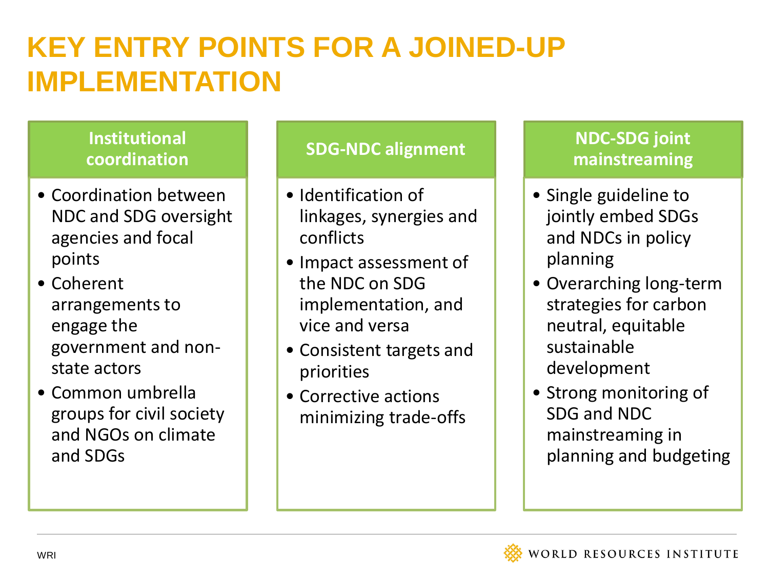# **KEY ENTRY POINTS FOR A JOINED-UP IMPLEMENTATION**

#### **Institutional coordination**

- Coordination between NDC and SDG oversight agencies and focal points
- Coherent arrangements to engage the government and nonstate actors
- Common umbrella groups for civil society and NGOs on climate and SDGs

#### **SDG-NDC alignment**

- Identification of linkages, synergies and conflicts
- Impact assessment of the NDC on SDG implementation, and vice and versa
- Consistent targets and priorities
- Corrective actions minimizing trade-offs

#### **NDC-SDG joint mainstreaming**

- Single guideline to jointly embed SDGs and NDCs in policy planning
- Overarching long-term strategies for carbon neutral, equitable sustainable development
- Strong monitoring of SDG and NDC mainstreaming in planning and budgeting

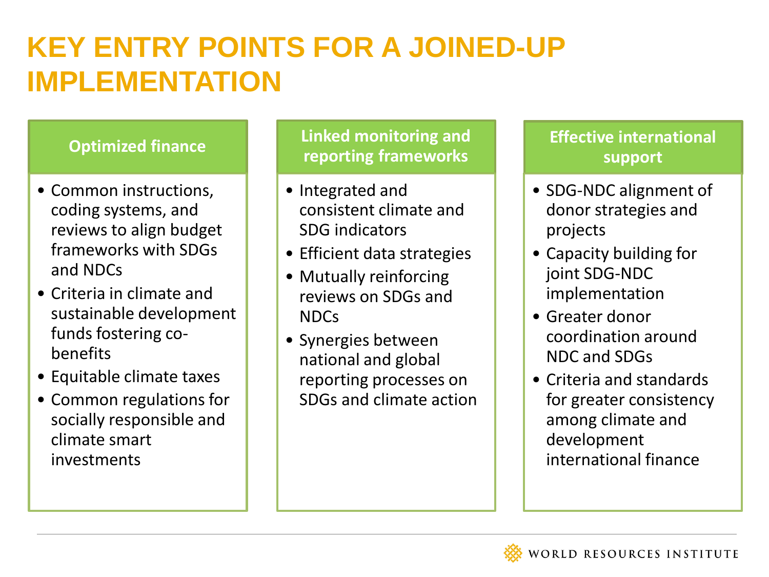# **KEY ENTRY POINTS FOR A JOINED-UP IMPLEMENTATION**

#### **Optimized finance**

- Common instructions, coding systems, and reviews to align budget frameworks with SDGs and NDCs
- Criteria in climate and sustainable development funds fostering cobenefits
- Equitable climate taxes
- Common regulations for socially responsible and climate smart investments

#### **Linked monitoring and reporting frameworks**

- Integrated and consistent climate and SDG indicators
- Efficient data strategies
- Mutually reinforcing reviews on SDGs and NDCs
- Synergies between national and global reporting processes on SDGs and climate action

#### **Effective international support**

- SDG-NDC alignment of donor strategies and projects
- Capacity building for joint SDG-NDC implementation
- Greater donor coordination around NDC and SDGs
- Criteria and standards for greater consistency among climate and development international finance